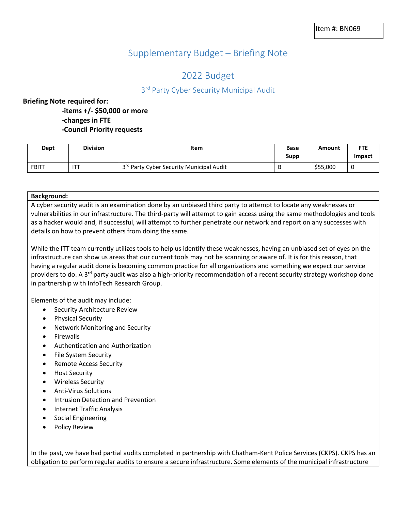# Supplementary Budget – Briefing Note

# 2022 Budget

# 3<sup>rd</sup> Party Cyber Security Municipal Audit

## **Briefing Note required for:**

**-items +/- \$50,000 or more -changes in FTE -Council Priority requests**

|       | Dept | <b>Division</b> | Item                                                 | <b>Base</b><br>Supp | Amount   | <b>FTE</b><br>Impact |
|-------|------|-----------------|------------------------------------------------------|---------------------|----------|----------------------|
| FBITT |      | <b>ITT</b>      | 3 <sup>rd</sup> Party Cyber Security Municipal Audit | B                   | \$55,000 |                      |

#### **Background:**

A cyber security audit is an examination done by an unbiased third party to attempt to locate any weaknesses or vulnerabilities in our infrastructure. The third-party will attempt to gain access using the same methodologies and tools as a hacker would and, if successful, will attempt to further penetrate our network and report on any successes with details on how to prevent others from doing the same.

While the ITT team currently utilizes tools to help us identify these weaknesses, having an unbiased set of eyes on the infrastructure can show us areas that our current tools may not be scanning or aware of. It is for this reason, that having a regular audit done is becoming common practice for all organizations and something we expect our service providers to do. A 3<sup>rd</sup> party audit was also a high-priority recommendation of a recent security strategy workshop done in partnership with InfoTech Research Group.

Elements of the audit may include:

- Security Architecture Review
- Physical Security
- Network Monitoring and Security
- Firewalls
- Authentication and Authorization
- File System Security
- Remote Access Security
- Host Security
- Wireless Security
- Anti-Virus Solutions
- Intrusion Detection and Prevention
- Internet Traffic Analysis
- Social Engineering
- Policy Review

In the past, we have had partial audits completed in partnership with Chatham-Kent Police Services (CKPS). CKPS has an obligation to perform regular audits to ensure a secure infrastructure. Some elements of the municipal infrastructure